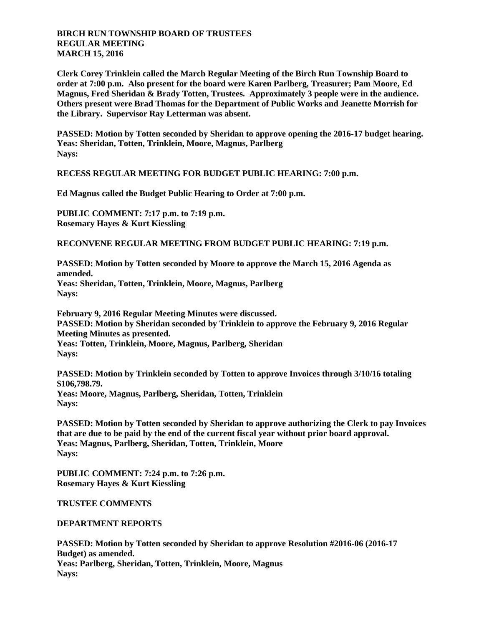## **BIRCH RUN TOWNSHIP BOARD OF TRUSTEES REGULAR MEETING MARCH 15, 2016**

**Clerk Corey Trinklein called the March Regular Meeting of the Birch Run Township Board to order at 7:00 p.m. Also present for the board were Karen Parlberg, Treasurer; Pam Moore, Ed Magnus, Fred Sheridan & Brady Totten, Trustees. Approximately 3 people were in the audience. Others present were Brad Thomas for the Department of Public Works and Jeanette Morrish for the Library. Supervisor Ray Letterman was absent.**

**PASSED: Motion by Totten seconded by Sheridan to approve opening the 2016-17 budget hearing. Yeas: Sheridan, Totten, Trinklein, Moore, Magnus, Parlberg Nays:** 

**RECESS REGULAR MEETING FOR BUDGET PUBLIC HEARING: 7:00 p.m.**

**Ed Magnus called the Budget Public Hearing to Order at 7:00 p.m.**

**PUBLIC COMMENT: 7:17 p.m. to 7:19 p.m. Rosemary Hayes & Kurt Kiessling**

**RECONVENE REGULAR MEETING FROM BUDGET PUBLIC HEARING: 7:19 p.m.**

**PASSED: Motion by Totten seconded by Moore to approve the March 15, 2016 Agenda as amended.**

**Yeas: Sheridan, Totten, Trinklein, Moore, Magnus, Parlberg Nays:** 

**February 9, 2016 Regular Meeting Minutes were discussed. PASSED: Motion by Sheridan seconded by Trinklein to approve the February 9, 2016 Regular Meeting Minutes as presented. Yeas: Totten, Trinklein, Moore, Magnus, Parlberg, Sheridan Nays:** 

**PASSED: Motion by Trinklein seconded by Totten to approve Invoices through 3/10/16 totaling \$106,798.79. Yeas: Moore, Magnus, Parlberg, Sheridan, Totten, Trinklein Nays:** 

**PASSED: Motion by Totten seconded by Sheridan to approve authorizing the Clerk to pay Invoices that are due to be paid by the end of the current fiscal year without prior board approval. Yeas: Magnus, Parlberg, Sheridan, Totten, Trinklein, Moore Nays:** 

**PUBLIC COMMENT: 7:24 p.m. to 7:26 p.m. Rosemary Hayes & Kurt Kiessling**

**TRUSTEE COMMENTS**

**DEPARTMENT REPORTS**

**PASSED: Motion by Totten seconded by Sheridan to approve Resolution #2016-06 (2016-17 Budget) as amended. Yeas: Parlberg, Sheridan, Totten, Trinklein, Moore, Magnus Nays:**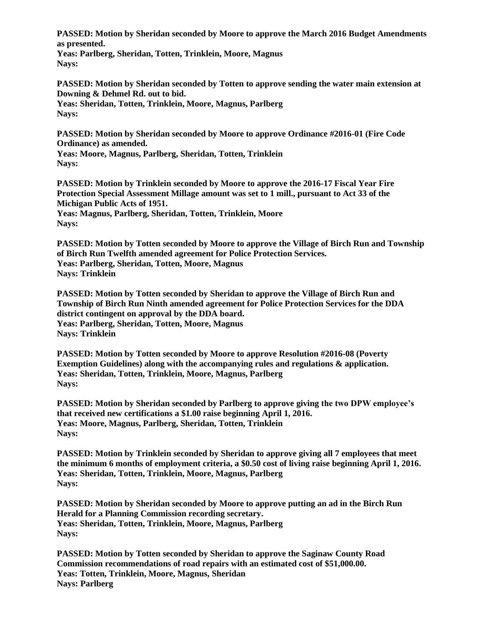**PASSED: Motion by Sheridan seconded by Moore to approve the March 2016 Budget Amendments as presented.**

**Yeas: Parlberg, Sheridan, Totten, Trinklein, Moore, Magnus Nays:** 

**PASSED: Motion by Sheridan seconded by Totten to approve sending the water main extension at Downing & Dehmel Rd. out to bid.**

**Yeas: Sheridan, Totten, Trinklein, Moore, Magnus, Parlberg Nays:** 

**PASSED: Motion by Sheridan seconded by Moore to approve Ordinance #2016-01 (Fire Code Ordinance) as amended.**

**Yeas: Moore, Magnus, Parlberg, Sheridan, Totten, Trinklein Nays:** 

**PASSED: Motion by Trinklein seconded by Moore to approve the 2016-17 Fiscal Year Fire Protection Special Assessment Millage amount was set to 1 mill., pursuant to Act 33 of the Michigan Public Acts of 1951.**

**Yeas: Magnus, Parlberg, Sheridan, Totten, Trinklein, Moore Nays:** 

**PASSED: Motion by Totten seconded by Moore to approve the Village of Birch Run and Township of Birch Run Twelfth amended agreement for Police Protection Services. Yeas: Parlberg, Sheridan, Totten, Moore, Magnus Nays: Trinklein**

**PASSED: Motion by Totten seconded by Sheridan to approve the Village of Birch Run and Township of Birch Run Ninth amended agreement for Police Protection Services for the DDA district contingent on approval by the DDA board. Yeas: Parlberg, Sheridan, Totten, Moore, Magnus Nays: Trinklein**

**PASSED: Motion by Totten seconded by Moore to approve Resolution #2016-08 (Poverty Exemption Guidelines) along with the accompanying rules and regulations & application. Yeas: Sheridan, Totten, Trinklein, Moore, Magnus, Parlberg Nays:** 

**PASSED: Motion by Sheridan seconded by Parlberg to approve giving the two DPW employee's that received new certifications a \$1.00 raise beginning April 1, 2016. Yeas: Moore, Magnus, Parlberg, Sheridan, Totten, Trinklein Nays:** 

**PASSED: Motion by Trinklein seconded by Sheridan to approve giving all 7 employees that meet the minimum 6 months of employment criteria, a \$0.50 cost of living raise beginning April 1, 2016. Yeas: Sheridan, Totten, Trinklein, Moore, Magnus, Parlberg Nays:** 

**PASSED: Motion by Sheridan seconded by Moore to approve putting an ad in the Birch Run Herald for a Planning Commission recording secretary. Yeas: Sheridan, Totten, Trinklein, Moore, Magnus, Parlberg Nays:** 

**PASSED: Motion by Totten seconded by Sheridan to approve the Saginaw County Road Commission recommendations of road repairs with an estimated cost of \$51,000.00. Yeas: Totten, Trinklein, Moore, Magnus, Sheridan Nays: Parlberg**